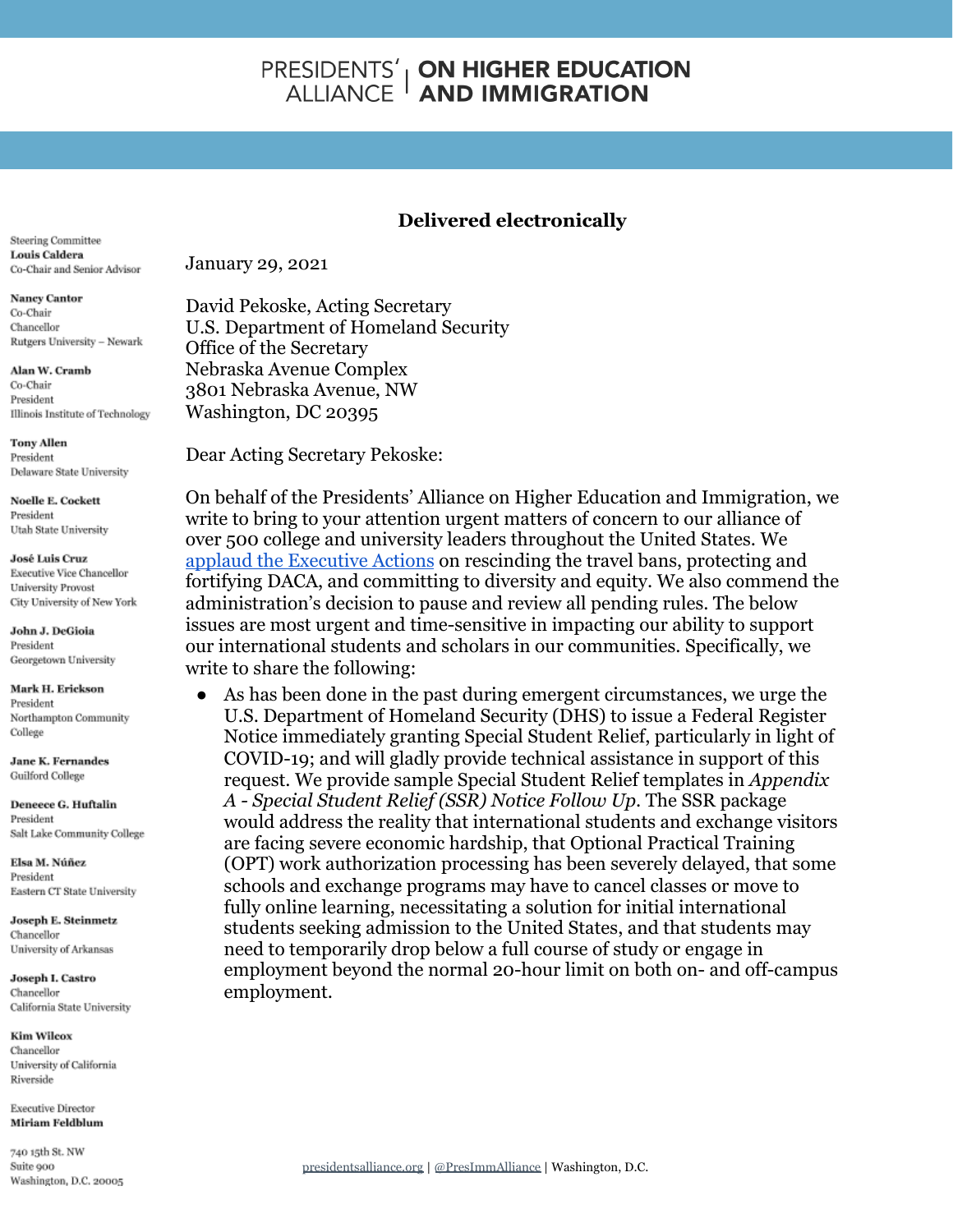# **PRESIDENTS' | ON HIGHER EDUCATION<br>ALLIANCE | AND IMMIGRATION**

## **Delivered electronically**

Steering Committee **Louis Caldera** Co-Chair and Senior Advisor

**Nancy Cantor** Co-Chair Chancellor Rutgers University - Newark

Alan W. Cramb Co-Chair President Illinois Institute of Technology

**Tony Allen** President Delaware State University

**Noelle E. Cockett** President Utah State University

**José Luis Cruz Executive Vice Chancellor University Provost** City University of New York

John J. DeGioia President Georgetown University

Mark H. Erickson President Northampton Community College

**Jane K. Fernandes** Guilford College

Deneece G. Huftalin President Salt Lake Community College

Elsa M. Núñez President Eastern CT State University

Joseph E. Steinmetz Chancellor University of Arkansas

Joseph I. Castro Chancellor California State University

**Kim Wilcox** Chancellor University of California Riverside

**Executive Director Miriam Feldblum** 

740 15th St. NW Suite 900 Washington, D.C. 20005 January 29, 2021

David Pekoske, Acting Secretary U.S. Department of Homeland Security Office of the Secretary Nebraska Avenue Complex 3801 Nebraska Avenue, NW Washington, DC 20395

Dear Acting Secretary Pekoske:

On behalf of the Presidents' Alliance on Higher Education and Immigration, we write to bring to your attention urgent matters of concern to our alliance of over 500 college and university leaders throughout the United States. We [applaud the Executive Actions](https://www.presidentsalliance.org/press/statement-joe-biden-2021/) on rescinding the travel bans, protecting and fortifying DACA, and committing to diversity and equity. We also commend the administration's decision to pause and review all pending rules. The below issues are most urgent and time-sensitive in impacting our ability to support our international students and scholars in our communities. Specifically, we write to share the following:

● As has been done in the past during emergent circumstances, we urge the U.S. Department of Homeland Security (DHS) to issue a Federal Register Notice immediately granting Special Student Relief, particularly in light of COVID-19; and will gladly provide technical assistance in support of this request. We provide sample Special Student Relief templates in *Appendix A - Special Student Relief (SSR) Notice Follow Up*. The SSR package would address the reality that international students and exchange visitors are facing severe economic hardship, that Optional Practical Training (OPT) work authorization processing has been severely delayed, that some schools and exchange programs may have to cancel classes or move to fully online learning, necessitating a solution for initial international students seeking admission to the United States, and that students may need to temporarily drop below a full course of study or engage in employment beyond the normal 20-hour limit on both on- and off-campus employment.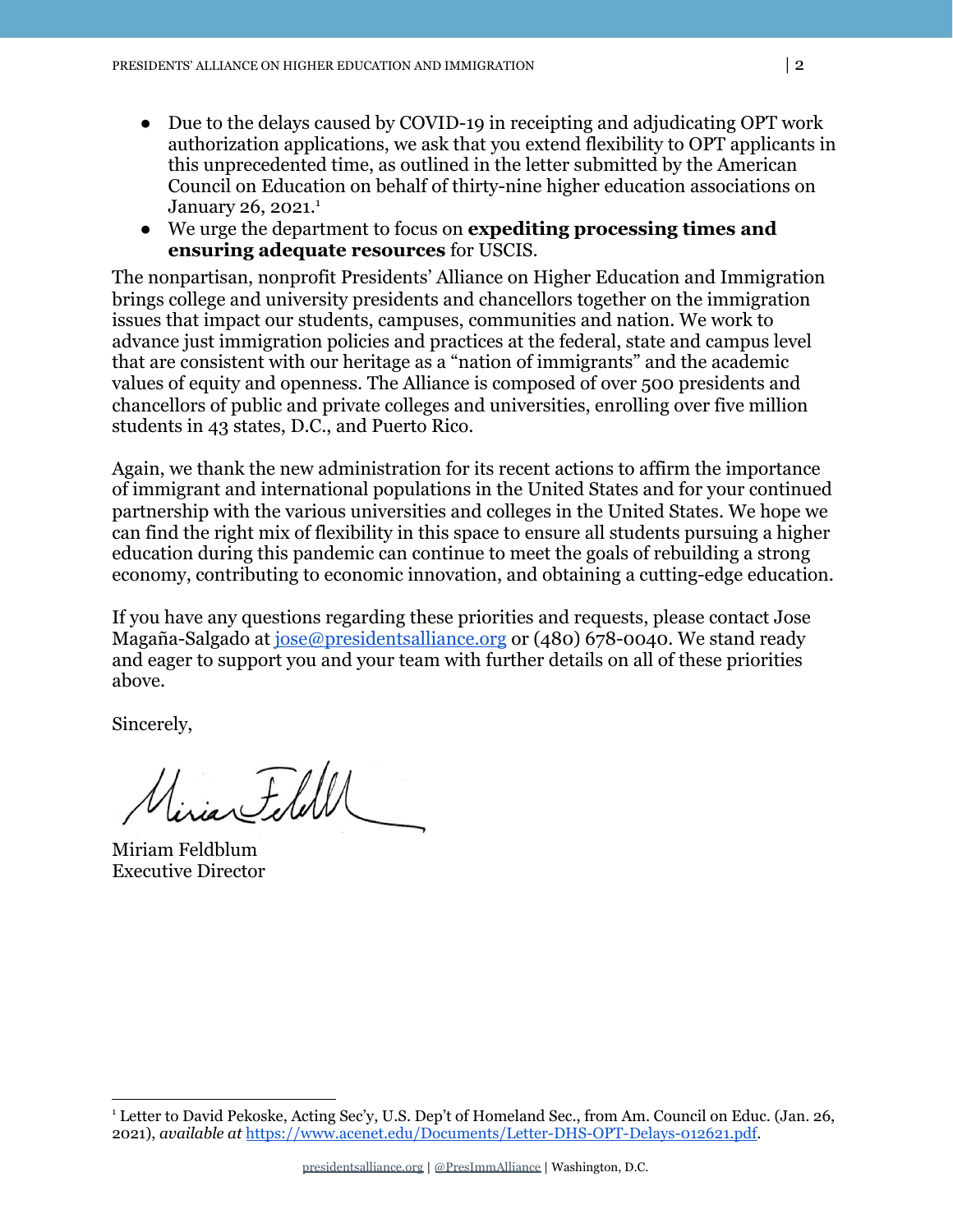- Due to the delays caused by COVID-19 in receipting and adjudicating OPT work authorization applications, we ask that you extend flexibility to OPT applicants in this unprecedented time, as outlined in the letter submitted by the American Council on Education on behalf of thirty-nine higher education associations on January 26, 2021.<sup>1</sup>
- We urge the department to focus on **expediting processing times and ensuring adequate resources** for USCIS.

The nonpartisan, nonprofit Presidents' Alliance on Higher Education and Immigration brings college and university presidents and chancellors together on the immigration issues that impact our students, campuses, communities and nation. We work to advance just immigration policies and practices at the federal, state and campus level that are consistent with our heritage as a "nation of immigrants" and the academic values of equity and openness. The Alliance is composed of over 500 presidents and chancellors of public and private colleges and universities, enrolling over five million students in 43 states, D.C., and Puerto Rico.

Again, we thank the new administration for its recent actions to affirm the importance of immigrant and international populations in the United States and for your continued partnership with the various universities and colleges in the United States. We hope we can find the right mix of flexibility in this space to ensure all students pursuing a higher education during this pandemic can continue to meet the goals of rebuilding a strong economy, contributing to economic innovation, and obtaining a cutting-edge education.

If you have any questions regarding these priorities and requests, please contact Jose Magaña-Salgado at [jose@presidentsalliance.org](mailto:jose@presidentsalliance.org) or (480) 678-0040. We stand ready and eager to support you and your team with further details on all of these priorities above.

Sincerely,

Misian Feldl

Miriam Feldblum Executive Director

<sup>1</sup> Letter to David Pekoske, Acting Sec'y, U.S. Dep't of Homeland Sec., from Am. Council on Educ. (Jan. 26, 2021), *available at* [https://www.acenet.edu/Documents/Letter-DHS-OPT-Delays-012621.pdf.](https://www.acenet.edu/Documents/Letter-DHS-OPT-Delays-012621.pdf)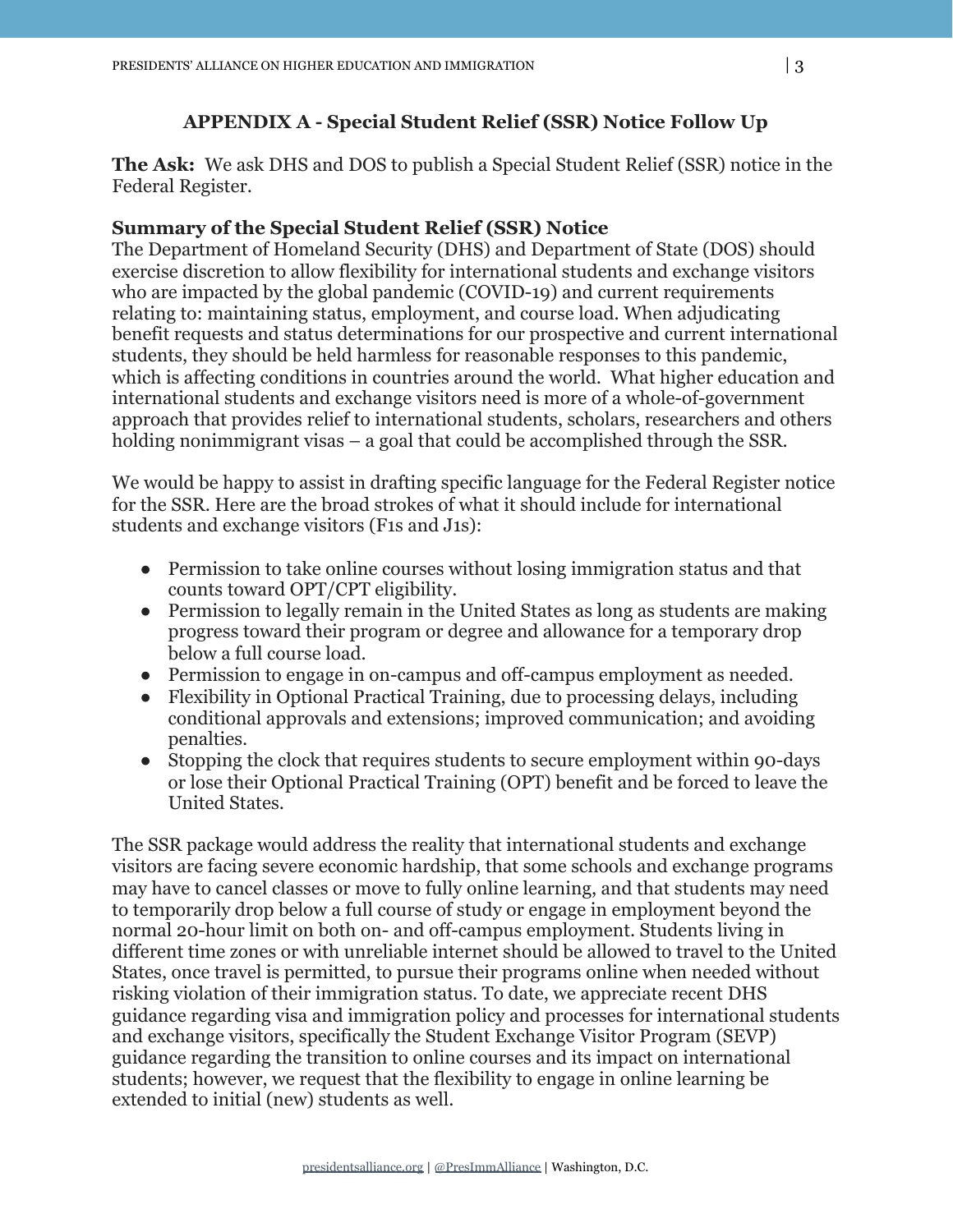## **APPENDIX A - Special Student Relief (SSR) Notice Follow Up**

**The Ask:** We ask DHS and DOS to publish a Special Student Relief (SSR) notice in the Federal Register.

### **Summary of the Special Student Relief (SSR) Notice**

The Department of Homeland Security (DHS) and Department of State (DOS) should exercise discretion to allow flexibility for international students and exchange visitors who are impacted by the global pandemic (COVID-19) and current requirements relating to: maintaining status, employment, and course load. When adjudicating benefit requests and status determinations for our prospective and current international students, they should be held harmless for reasonable responses to this pandemic, which is affecting conditions in countries around the world. What higher education and international students and exchange visitors need is more of a whole-of-government approach that provides relief to international students, scholars, researchers and others holding nonimmigrant visas – a goal that could be accomplished through the SSR.

We would be happy to assist in drafting specific language for the Federal Register notice for the SSR. Here are the broad strokes of what it should include for international students and exchange visitors (F1s and J1s):

- Permission to take online courses without losing immigration status and that counts toward OPT/CPT eligibility.
- Permission to legally remain in the United States as long as students are making progress toward their program or degree and allowance for a temporary drop below a full course load.
- Permission to engage in on-campus and off-campus employment as needed.
- Flexibility in Optional Practical Training, due to processing delays, including conditional approvals and extensions; improved communication; and avoiding penalties.
- Stopping the clock that requires students to secure employment within 90-days or lose their Optional Practical Training (OPT) benefit and be forced to leave the United States.

The SSR package would address the reality that international students and exchange visitors are facing severe economic hardship, that some schools and exchange programs may have to cancel classes or move to fully online learning, and that students may need to temporarily drop below a full course of study or engage in employment beyond the normal 20-hour limit on both on- and off-campus employment. Students living in different time zones or with unreliable internet should be allowed to travel to the United States, once travel is permitted, to pursue their programs online when needed without risking violation of their immigration status. To date, we appreciate recent DHS guidance regarding visa and immigration policy and processes for international students and exchange visitors, specifically the Student Exchange Visitor Program (SEVP) guidance regarding the transition to online courses and its impact on international students; however, we request that the flexibility to engage in online learning be extended to initial (new) students as well.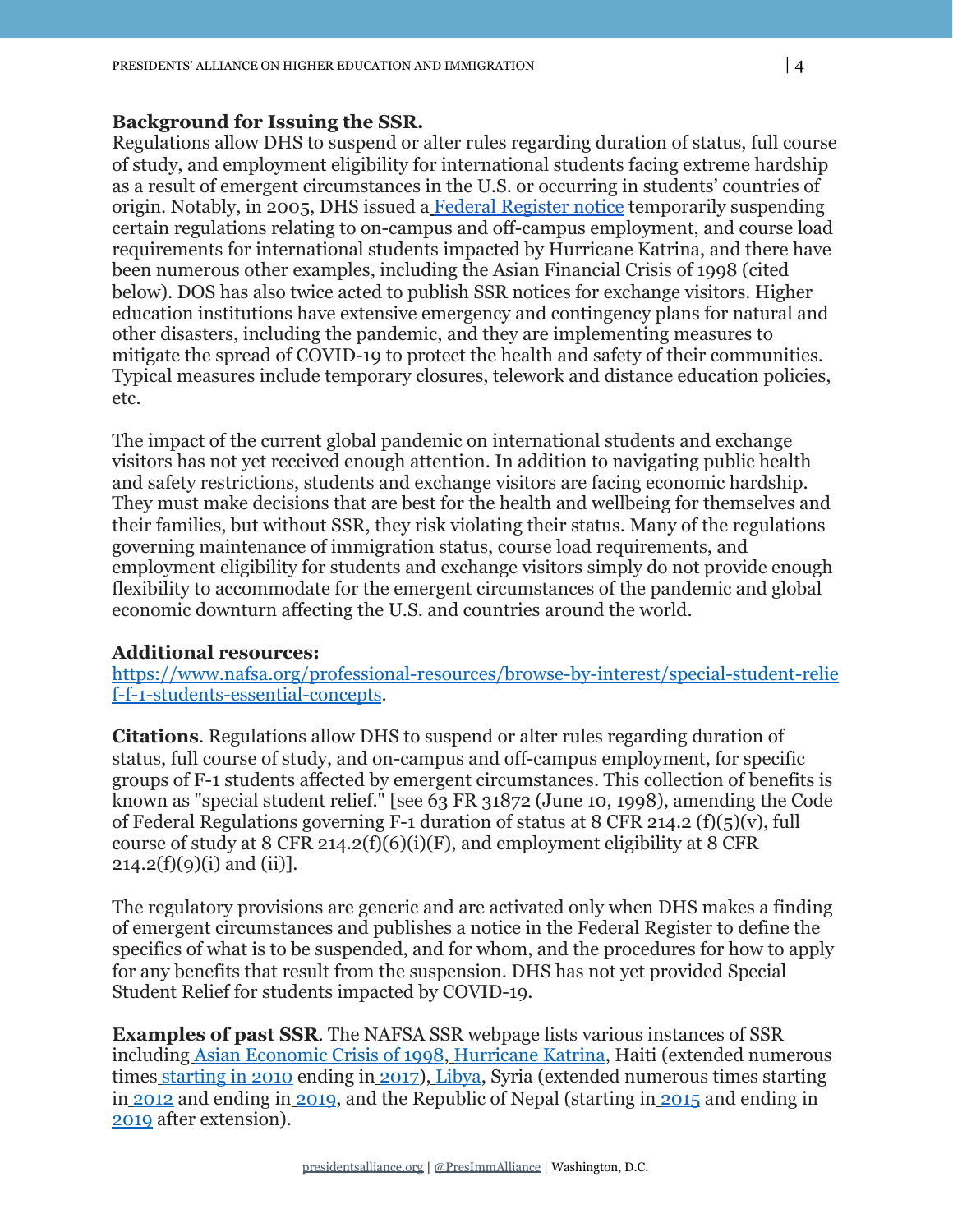#### **Background for Issuing the SSR.**

Regulations allow DHS to suspend or alter rules regarding duration of status, full course of study, and employment eligibility for international students facing extreme hardship as a result of emergent circumstances in the U.S. or occurring in students' countries of origin. Notably, in 2005, DHS issued a [Federal Register notice](https://www.federalregister.gov/documents/2005/11/25/05-23309/short-term-employment-authorization-and-reduced-course-load-for-certain-f-1-nonimmigrant-students) temporarily suspending certain regulations relating to on-campus and off-campus employment, and course load requirements for international students impacted by Hurricane Katrina, and there have been numerous other examples, including the Asian Financial Crisis of 1998 (cited below). DOS has also twice acted to publish SSR notices for exchange visitors. Higher education institutions have extensive emergency and contingency plans for natural and other disasters, including the pandemic, and they are implementing measures to mitigate the spread of COVID-19 to protect the health and safety of their communities. Typical measures include temporary closures, telework and distance education policies, etc.

The impact of the current global pandemic on international students and exchange visitors has not yet received enough attention. In addition to navigating public health and safety restrictions, students and exchange visitors are facing economic hardship. They must make decisions that are best for the health and wellbeing for themselves and their families, but without SSR, they risk violating their status. Many of the regulations governing maintenance of immigration status, course load requirements, and employment eligibility for students and exchange visitors simply do not provide enough flexibility to accommodate for the emergent circumstances of the pandemic and global economic downturn affecting the U.S. and countries around the world.

### **Additional resources:**

[https://www.nafsa.org/professional-resources/browse-by-interest/special-student-relie](https://www.nafsa.org/professional-resources/browse-by-interest/special-student-relief-f-1-students-essential-concepts) [f-f-1-students-essential-concepts](https://www.nafsa.org/professional-resources/browse-by-interest/special-student-relief-f-1-students-essential-concepts).

**Citations**. Regulations allow DHS to suspend or alter rules regarding duration of status, full course of study, and on-campus and off-campus employment, for specific groups of F-1 students affected by emergent circumstances. This collection of benefits is known as "special student relief." [see 63 FR 31872 (June 10, 1998), amending the Code of Federal Regulations governing F-1 duration of status at 8 CFR 214.2 (f)(5)(v), full course of study at 8 CFR 214.2(f)(6)(i)(F), and employment eligibility at 8 CFR  $214.2(f)(9)(i)$  and (ii)].

The regulatory provisions are generic and are activated only when DHS makes a finding of emergent circumstances and publishes a notice in the Federal Register to define the specifics of what is to be suspended, and for whom, and the procedures for how to apply for any benefits that result from the suspension. DHS has not yet provided Special Student Relief for students impacted by COVID-19.

**Examples of past SSR**. The NAFSA SSR webpage lists various instances of SSR including [Asian Economic Crisis of 1998,](https://nam11.safelinks.protection.outlook.com/?url=https%3A%2F%2Fwww.govinfo.gov%2Flink%2Ffr%2F63%2F31874&data=04%7C01%7C%7C8d5d83ea57c6468c9c6708d8a68662dd%7C8685bb08cb6e4e4297475dec61ed385b%7C0%7C0%7C637442443438982605%7CUnknown%7CTWFpbGZsb3d8eyJWIjoiMC4wLjAwMDAiLCJQIjoiV2luMzIiLCJBTiI6Ik1haWwiLCJXVCI6Mn0%3D%7C1000&sdata=4Tp9iD2ptHAmEdomZKlII2baUBcpYAartHM1mVvXyAE%3D&reserved=0) [Hurricane Katrina](https://nam11.safelinks.protection.outlook.com/?url=https%3A%2F%2Fwww.federalregister.gov%2Fd%2F05-23309&data=04%7C01%7C%7C8d5d83ea57c6468c9c6708d8a68662dd%7C8685bb08cb6e4e4297475dec61ed385b%7C0%7C0%7C637442443438982605%7CUnknown%7CTWFpbGZsb3d8eyJWIjoiMC4wLjAwMDAiLCJQIjoiV2luMzIiLCJBTiI6Ik1haWwiLCJXVCI6Mn0%3D%7C1000&sdata=0sQ43LxydT9FXnJFCD%2BgKFDfP5suWqEqbd1Kyun4W%2FQ%3D&reserved=0), Haiti (extended numerous time[s](https://nam11.safelinks.protection.outlook.com/?url=https%3A%2F%2Fwww.federalregister.gov%2Fd%2F2010-22929&data=04%7C01%7C%7C8d5d83ea57c6468c9c6708d8a68662dd%7C8685bb08cb6e4e4297475dec61ed385b%7C0%7C0%7C637442443438992599%7CUnknown%7CTWFpbGZsb3d8eyJWIjoiMC4wLjAwMDAiLCJQIjoiV2luMzIiLCJBTiI6Ik1haWwiLCJXVCI6Mn0%3D%7C1000&sdata=PMdM7RaqYYcKYF%2BikL9HlzfXpM2gZ6dXgK7LB74KRWM%3D&reserved=0) [starting in 2010](https://nam11.safelinks.protection.outlook.com/?url=https%3A%2F%2Fwww.federalregister.gov%2Fd%2F2010-22929&data=04%7C01%7C%7C8d5d83ea57c6468c9c6708d8a68662dd%7C8685bb08cb6e4e4297475dec61ed385b%7C0%7C0%7C637442443438992599%7CUnknown%7CTWFpbGZsb3d8eyJWIjoiMC4wLjAwMDAiLCJQIjoiV2luMzIiLCJBTiI6Ik1haWwiLCJXVCI6Mn0%3D%7C1000&sdata=PMdM7RaqYYcKYF%2BikL9HlzfXpM2gZ6dXgK7LB74KRWM%3D&reserved=0) ending in [2017](https://nam11.safelinks.protection.outlook.com/?url=https%3A%2F%2Fwww.federalregister.gov%2Fd%2F2015-21005&data=04%7C01%7C%7C8d5d83ea57c6468c9c6708d8a68662dd%7C8685bb08cb6e4e4297475dec61ed385b%7C0%7C0%7C637442443438992599%7CUnknown%7CTWFpbGZsb3d8eyJWIjoiMC4wLjAwMDAiLCJQIjoiV2luMzIiLCJBTiI6Ik1haWwiLCJXVCI6Mn0%3D%7C1000&sdata=OQVp9BDVepWjbjgyDjYoxf0zo3%2BPjxXmaIKSei1besE%3D&reserved=0)), [Libya](https://nam11.safelinks.protection.outlook.com/?url=https%3A%2F%2Fwww.federalregister.gov%2Fd%2F2011-14482&data=04%7C01%7C%7C8d5d83ea57c6468c9c6708d8a68662dd%7C8685bb08cb6e4e4297475dec61ed385b%7C0%7C0%7C637442443439002593%7CUnknown%7CTWFpbGZsb3d8eyJWIjoiMC4wLjAwMDAiLCJQIjoiV2luMzIiLCJBTiI6Ik1haWwiLCJXVCI6Mn0%3D%7C1000&sdata=7INW7E9XiHaT8PFqhgzbQDNXu5N2l0ynOl2K2Yin%2Bpo%3D&reserved=0), Syria (extended numerous times starting i[n](https://nam11.safelinks.protection.outlook.com/?url=https%3A%2F%2Fwww.federalregister.gov%2Fd%2F2012-7960&data=04%7C01%7C%7C8d5d83ea57c6468c9c6708d8a68662dd%7C8685bb08cb6e4e4297475dec61ed385b%7C0%7C0%7C637442443439012589%7CUnknown%7CTWFpbGZsb3d8eyJWIjoiMC4wLjAwMDAiLCJQIjoiV2luMzIiLCJBTiI6Ik1haWwiLCJXVCI6Mn0%3D%7C1000&sdata=gBimnGrGPNQMbeqU59d8%2FftZFwRZCJcqsGb1aHg1KNo%3D&reserved=0) [2012](https://nam11.safelinks.protection.outlook.com/?url=https%3A%2F%2Fwww.federalregister.gov%2Fd%2F2012-7960&data=04%7C01%7C%7C8d5d83ea57c6468c9c6708d8a68662dd%7C8685bb08cb6e4e4297475dec61ed385b%7C0%7C0%7C637442443439012589%7CUnknown%7CTWFpbGZsb3d8eyJWIjoiMC4wLjAwMDAiLCJQIjoiV2luMzIiLCJBTiI6Ik1haWwiLCJXVCI6Mn0%3D%7C1000&sdata=gBimnGrGPNQMbeqU59d8%2FftZFwRZCJcqsGb1aHg1KNo%3D&reserved=0) and ending in [2019](https://nam11.safelinks.protection.outlook.com/?url=https%3A%2F%2Fwww.federalregister.gov%2Fd%2F2018-05206&data=04%7C01%7C%7C8d5d83ea57c6468c9c6708d8a68662dd%7C8685bb08cb6e4e4297475dec61ed385b%7C0%7C0%7C637442443439012589%7CUnknown%7CTWFpbGZsb3d8eyJWIjoiMC4wLjAwMDAiLCJQIjoiV2luMzIiLCJBTiI6Ik1haWwiLCJXVCI6Mn0%3D%7C1000&sdata=gOfN7teWWYqCCx9OqMvXCXGdIB6sr4Tos1UAEOutYI8%3D&reserved=0), and the Republic of Nepal (starting in [2015](https://nam11.safelinks.protection.outlook.com/?url=https%3A%2F%2Fwww.federalregister.gov%2Fd%2F2015-28360&data=04%7C01%7C%7C8d5d83ea57c6468c9c6708d8a68662dd%7C8685bb08cb6e4e4297475dec61ed385b%7C0%7C0%7C637442443439022584%7CUnknown%7CTWFpbGZsb3d8eyJWIjoiMC4wLjAwMDAiLCJQIjoiV2luMzIiLCJBTiI6Ik1haWwiLCJXVCI6Mn0%3D%7C1000&sdata=2zWQxbl7O28WxAjyPIGX3e1kpg0eXRGhJQAT%2FOhmqeI%3D&reserved=0) and ending in [2019](https://nam11.safelinks.protection.outlook.com/?url=https%3A%2F%2Fwww.federalregister.gov%2Fd%2F2018-13964&data=04%7C01%7C%7C8d5d83ea57c6468c9c6708d8a68662dd%7C8685bb08cb6e4e4297475dec61ed385b%7C0%7C0%7C637442443439022584%7CUnknown%7CTWFpbGZsb3d8eyJWIjoiMC4wLjAwMDAiLCJQIjoiV2luMzIiLCJBTiI6Ik1haWwiLCJXVCI6Mn0%3D%7C1000&sdata=g2jPk%2BLLRLQX8gu%2FMSh14P0h7M334a77U9FeJOteJ60%3D&reserved=0) after extension).